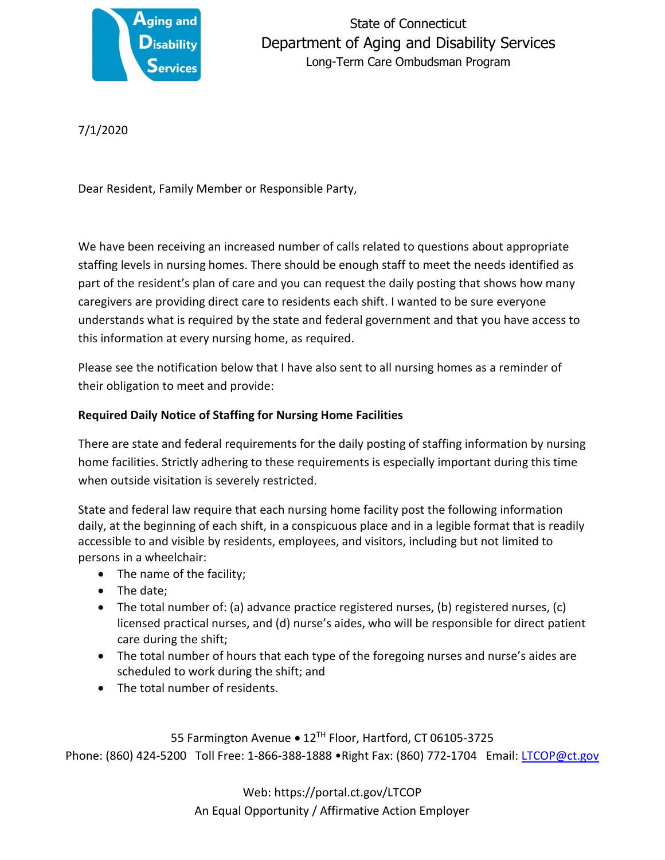

State of Connecticut Department of Aging and Disability Services Long-Term Care Ombudsman Program

7/1/2020

Dear Resident, Family Member or Responsible Party,

We have been receiving an increased number of calls related to questions about appropriate staffing levels in nursing homes. There should be enough staff to meet the needs identified as part of the resident's plan of care and you can request the daily posting that shows how many caregivers are providing direct care to residents each shift. I wanted to be sure everyone understands what is required by the state and federal government and that you have access to this information at every nursing home, as required.

Please see the notification below that I have also sent to all nursing homes as a reminder of their obligation to meet and provide:

## **Required Daily Notice of Staffing for Nursing Home Facilities**

There are state and federal requirements for the daily posting of staffing information by nursing home facilities. Strictly adhering to these requirements is especially important during this time when outside visitation is severely restricted.

State and federal law require that each nursing home facility post the following information daily, at the beginning of each shift, in a conspicuous place and in a legible format that is readily accessible to and visible by residents, employees, and visitors, including but not limited to persons in a wheelchair:

- The name of the facility;
- The date;
- The total number of: (a) advance practice registered nurses, (b) registered nurses, (c) licensed practical nurses, and (d) nurse's aides, who will be responsible for direct patient care during the shift;
- The total number of hours that each type of the foregoing nurses and nurse's aides are scheduled to work during the shift; and
- The total number of residents.

55 Farmington Avenue • 12TH Floor, Hartford, CT 06105-3725 Phone: (860) 424-5200 Toll Free: 1-866-388-1888 •Right Fax: (860) 772-1704 Email: [LTCOP@ct.gov](mailto:LTCOP@ct.gov)

> Web: https://portal.ct.gov/LTCOP An Equal Opportunity / Affirmative Action Employer